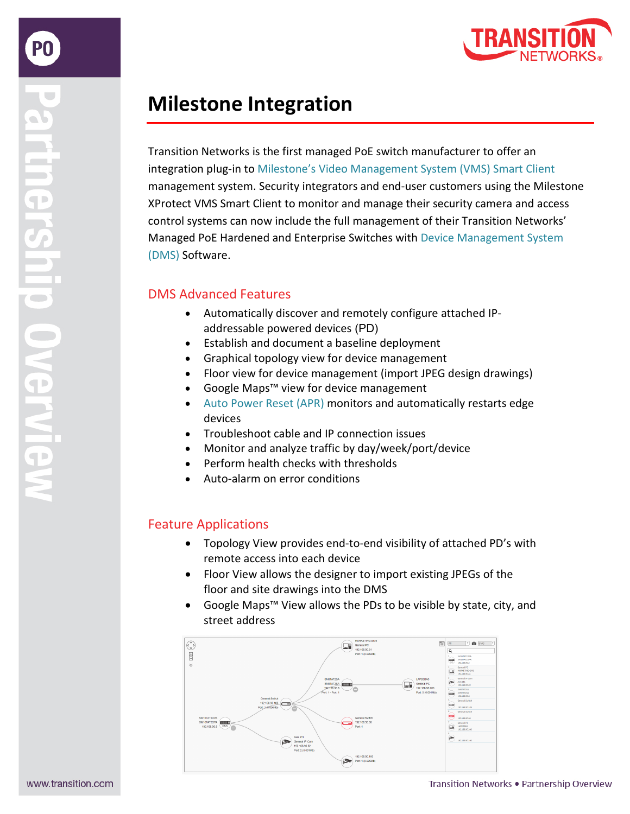# **Milestone Integration**

Transition Networks is the first managed PoE switch manufacturer to offer an integration plug-in to [Milestone's Video Management System \(VMS\)](https://www.transition.com/resources/integration-of-transition-networks-switches-with-milestone-xprotect-vms-smart-client/) Smart Client management system. Security integrators and end-user customers using the Milestone XProtect VMS Smart Client to monitor and manage their security camera and access control systems can now include the full management of their Transition Networks' Managed PoE Hardened and Enterprise Switches with [Device Management System](https://www.transition.com/device-management-system-dms/)  [\(DMS\)](https://www.transition.com/device-management-system-dms/) Software.

## DMS Advanced Features

- Automatically discover and remotely configure attached IPaddressable powered devices (PD)
- Establish and document a baseline deployment
- Graphical topology view for device management
- Floor view for device management (import JPEG design drawings)
- Google Maps™ view for device management
- [Auto Power Reset](https://www.transition.com/wp-content/uploads/2016/05/Auto-Power-Reset.pdf) (APR) monitors and automatically restarts edge devices
- Troubleshoot cable and IP connection issues
- Monitor and analyze traffic by day/week/port/device
- Perform health checks with thresholds
- Auto-alarm on error conditions

# Feature Applications

- Topology View provides end-to-end visibility of attached PD's with remote access into each device
- Floor View allows the designer to import existing JPEGs of the floor and site drawings into the DMS
- Google Maps™ View allows the PDs to be visible by state, city, and street address